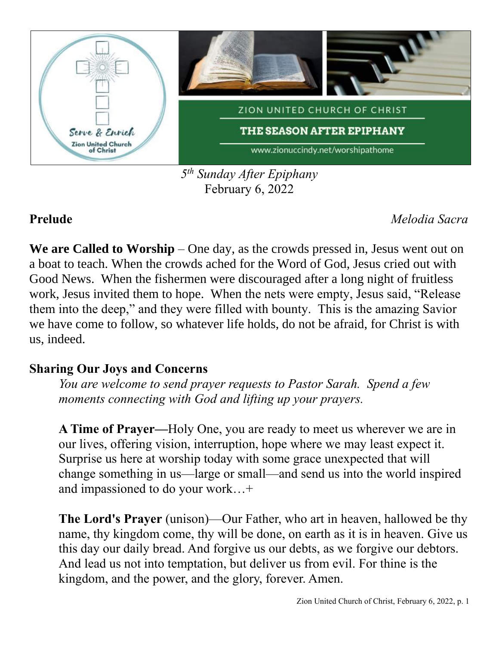

*5 th Sunday After Epiphany* February 6, 2022

**Prelude** *Melodia Sacra*

**We are Called to Worship** – One day, as the crowds pressed in, Jesus went out on a boat to teach. When the crowds ached for the Word of God, Jesus cried out with Good News. When the fishermen were discouraged after a long night of fruitless work, Jesus invited them to hope. When the nets were empty, Jesus said, "Release them into the deep," and they were filled with bounty. This is the amazing Savior we have come to follow, so whatever life holds, do not be afraid, for Christ is with us, indeed.

# **Sharing Our Joys and Concerns**

*You are welcome to send prayer requests to Pastor Sarah. Spend a few moments connecting with God and lifting up your prayers.*

**A Time of Prayer—**Holy One, you are ready to meet us wherever we are in our lives, offering vision, interruption, hope where we may least expect it. Surprise us here at worship today with some grace unexpected that will change something in us—large or small—and send us into the world inspired and impassioned to do your work…+

**The Lord's Prayer** (unison)—Our Father, who art in heaven, hallowed be thy name, thy kingdom come, thy will be done, on earth as it is in heaven. Give us this day our daily bread. And forgive us our debts, as we forgive our debtors. And lead us not into temptation, but deliver us from evil. For thine is the kingdom, and the power, and the glory, forever. Amen.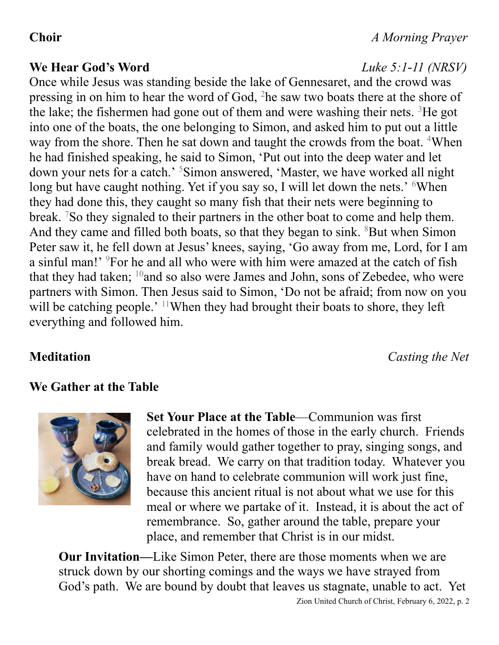### **We Hear God's Word** *Luke 5:1-11 (NRSV)*

Once while Jesus was standing beside the lake of Gennesaret, and the crowd was pressing in on him to hear the word of God, <sup>2</sup>he saw two boats there at the shore of the lake; the fishermen had gone out of them and were washing their nets.  ${}^{3}$ He got into one of the boats, the one belonging to Simon, and asked him to put out a little way from the shore. Then he sat down and taught the crowds from the boat. <sup>4</sup>When he had finished speaking, he said to Simon, 'Put out into the deep water and let down your nets for a catch.' <sup>5</sup>Simon answered, 'Master, we have worked all night long but have caught nothing. Yet if you say so, I will let down the nets.' <sup>6</sup>When they had done this, they caught so many fish that their nets were beginning to break. <sup>7</sup>So they signaled to their partners in the other boat to come and help them. And they came and filled both boats, so that they began to sink. <sup>8</sup>But when Simon Peter saw it, he fell down at Jesus' knees, saying, 'Go away from me, Lord, for I am a sinful man!' <sup>9</sup>For he and all who were with him were amazed at the catch of fish that they had taken;  $10$  and so also were James and John, sons of Zebedee, who were partners with Simon. Then Jesus said to Simon, 'Do not be afraid; from now on you will be catching people.' <sup>11</sup>When they had brought their boats to shore, they left everything and followed him.

**Meditation** *Casting the Net*

## **We Gather at the Table**



**Set Your Place at the Table**—Communion was first celebrated in the homes of those in the early church. Friends and family would gather together to pray, singing songs, and break bread. We carry on that tradition today. Whatever you have on hand to celebrate communion will work just fine, because this ancient ritual is not about what we use for this meal or where we partake of it. Instead, it is about the act of remembrance. So, gather around the table, prepare your place, and remember that Christ is in our midst.

**Our Invitation—**Like Simon Peter, there are those moments when we are struck down by our shorting comings and the ways we have strayed from God's path. We are bound by doubt that leaves us stagnate, unable to act. Yet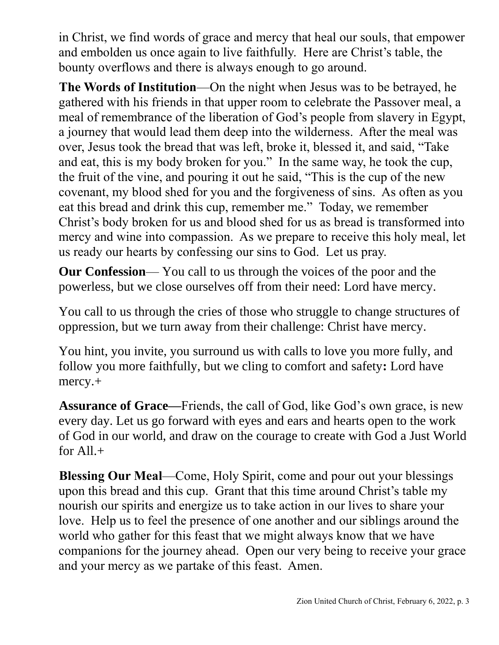in Christ, we find words of grace and mercy that heal our souls, that empower and embolden us once again to live faithfully. Here are Christ's table, the bounty overflows and there is always enough to go around.

**The Words of Institution**—On the night when Jesus was to be betrayed, he gathered with his friends in that upper room to celebrate the Passover meal, a meal of remembrance of the liberation of God's people from slavery in Egypt, a journey that would lead them deep into the wilderness. After the meal was over, Jesus took the bread that was left, broke it, blessed it, and said, "Take and eat, this is my body broken for you." In the same way, he took the cup, the fruit of the vine, and pouring it out he said, "This is the cup of the new covenant, my blood shed for you and the forgiveness of sins. As often as you eat this bread and drink this cup, remember me." Today, we remember Christ's body broken for us and blood shed for us as bread is transformed into mercy and wine into compassion. As we prepare to receive this holy meal, let us ready our hearts by confessing our sins to God. Let us pray.

**Our Confession**— You call to us through the voices of the poor and the powerless, but we close ourselves off from their need: Lord have mercy.

You call to us through the cries of those who struggle to change structures of oppression, but we turn away from their challenge: Christ have mercy.

You hint, you invite, you surround us with calls to love you more fully, and follow you more faithfully, but we cling to comfort and safety**:** Lord have mercy.+

**Assurance of Grace—**Friends, the call of God, like God's own grace, is new every day. Let us go forward with eyes and ears and hearts open to the work of God in our world, and draw on the courage to create with God a Just World for  $All_{+}$ 

**Blessing Our Meal**—Come, Holy Spirit, come and pour out your blessings upon this bread and this cup. Grant that this time around Christ's table my nourish our spirits and energize us to take action in our lives to share your love. Help us to feel the presence of one another and our siblings around the world who gather for this feast that we might always know that we have companions for the journey ahead. Open our very being to receive your grace and your mercy as we partake of this feast. Amen.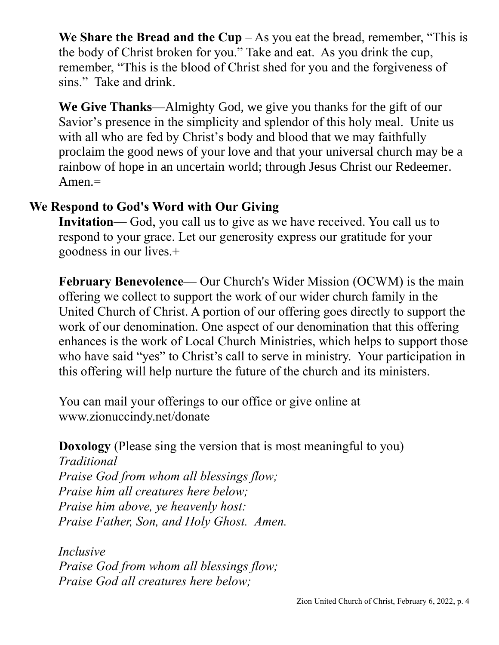We Share the Bread and the  $Cup - As$  you eat the bread, remember, "This is the body of Christ broken for you." Take and eat. As you drink the cup, remember, "This is the blood of Christ shed for you and the forgiveness of sins." Take and drink.

**We Give Thanks**—Almighty God, we give you thanks for the gift of our Savior's presence in the simplicity and splendor of this holy meal. Unite us with all who are fed by Christ's body and blood that we may faithfully proclaim the good news of your love and that your universal church may be a rainbow of hope in an uncertain world; through Jesus Christ our Redeemer. Amen.=

# **We Respond to God's Word with Our Giving**

**Invitation—** God, you call us to give as we have received. You call us to respond to your grace. Let our generosity express our gratitude for your goodness in our lives.+

**February Benevolence**— Our Church's Wider Mission (OCWM) is the main offering we collect to support the work of our wider church family in the United Church of Christ. A portion of our offering goes directly to support the work of our denomination. One aspect of our denomination that this offering enhances is the work of Local Church Ministries, which helps to support those who have said "yes" to Christ's call to serve in ministry. Your participation in this offering will help nurture the future of the church and its ministers.

You can mail your offerings to our office or give online at www.zionuccindy.net/donate

**Doxology** (Please sing the version that is most meaningful to you)

*Traditional Praise God from whom all blessings flow; Praise him all creatures here below; Praise him above, ye heavenly host: Praise Father, Son, and Holy Ghost. Amen.*

*Inclusive Praise God from whom all blessings flow; Praise God all creatures here below;*